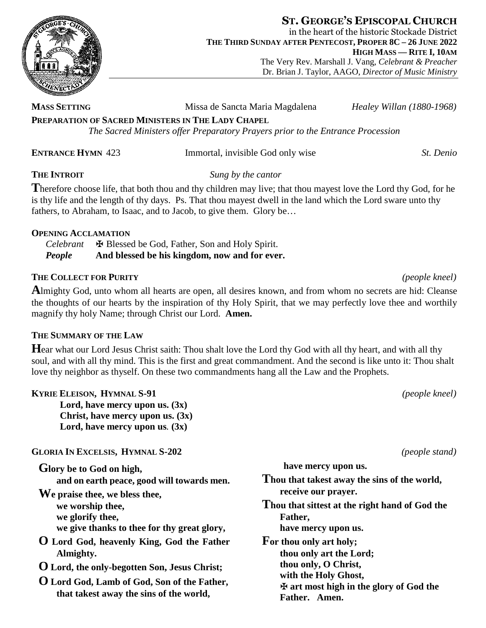

**ST. GEORGE'S EPISCOPAL CHURCH** in the heart of the historic Stockade District **THE THIRD SUNDAY AFTER PENTECOST, PROPER 8C – 26 JUNE 2022 HIGH MASS — RITE I, 10AM** The Very Rev. Marshall J. Vang, *Celebrant & Preacher* Dr. Brian J. Taylor, AAGO, *Director of Music Ministry*

**MASS SETTING** Missa de Sancta Maria Magdalena *Healey Willan (1880-1968)* **PREPARATION OF SACRED MINISTERS IN THE LADY CHAPEL** *The Sacred Ministers offer Preparatory Prayers prior to the Entrance Procession*

## **ENTRANCE HYMN** 423 Immortal, invisible God only wise *St. Denio*

**THE INTROIT** *Sung by the cantor*

**T**herefore choose life, that both thou and thy children may live; that thou mayest love the Lord thy God, for he is thy life and the length of thy days. Ps. That thou mayest dwell in the land which the Lord sware unto thy fathers, to Abraham, to Isaac, and to Jacob, to give them. Glory be...

# **OPENING ACCLAMATION**

Celebrant **N** Blessed be God, Father, Son and Holy Spirit.<br>**People** And blessed be his kingdom, now and for eve And blessed be his kingdom, now and for ever.

# **THE COLLECT FOR PURITY** *(people kneel)*

**A**lmighty God, unto whom all hearts are open, all desires known, and from whom no secrets are hid: Cleanse the thoughts of our hearts by the inspiration of thy Holy Spirit, that we may perfectly love thee and worthily magnify thy holy Name; through Christ our Lord. **Amen.**

# **THE SUMMARY OF THE LAW**

**H**ear what our Lord Jesus Christ saith: Thou shalt love the Lord thy God with all thy heart, and with all thy soul, and with all thy mind. This is the first and great commandment. And the second is like unto it: Thou shalt love thy neighbor as thyself. On these two commandments hang all the Law and the Prophets.

**KYRIE ELEISON, HYMNAL S-91** *(people kneel)*

**Lord, have mercy upon us. (3x) Christ, have mercy upon us. (3x) Lord, have mercy upon us***.* **(3x)**

**GLORIA IN EXCELSIS, HYMNAL S-202** *(people stand)*

| Glory be to God on high,                   |
|--------------------------------------------|
| and on earth peace, good will towards men. |

**We praise thee, we bless thee, we worship thee, we glorify thee, we give thanks to thee for thy great glory,**

- **O Lord God, heavenly King, God the Father Almighty.**
- **O Lord, the only-begotten Son, Jesus Christ;**
- **O Lord God, Lamb of God, Son of the Father, that takest away the sins of the world,**

**have mercy upon us. Thou that takest away the sins of the world, receive our prayer. Thou that sittest at the right hand of God the Father, have mercy upon us. For thou only art holy; thou only art the Lord; thou only, O Christ, with the Holy Ghost,** ✠ **art most high in the glory of God the Father. Amen.**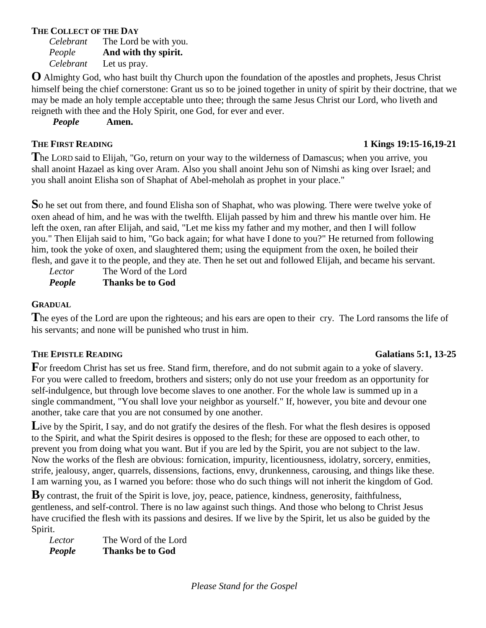## **THE COLLECT OF THE DAY**

*Celebrant* The Lord be with you. *People* **And with thy spirit.** *Celebrant* Let us pray.

**O** Almighty God, who hast built thy Church upon the foundation of the apostles and prophets, Jesus Christ himself being the chief cornerstone: Grant us so to be joined together in unity of spirit by their doctrine, that we may be made an holy temple acceptable unto thee; through the same Jesus Christ our Lord, who liveth and reigneth with thee and the Holy Spirit, one God, for ever and ever.

*People* **Amen.**

# **THE FIRST READING 1 Kings 19:15-16,19-21**

**T**he LORD said to Elijah, "Go, return on your way to the wilderness of Damascus; when you arrive, you shall anoint Hazael as king over Aram. Also you shall anoint Jehu son of Nimshi as king over Israel; and you shall anoint Elisha son of Shaphat of Abel-meholah as prophet in your place."

**S**o he set out from there, and found Elisha son of Shaphat, who was plowing. There were twelve yoke of oxen ahead of him, and he was with the twelfth. Elijah passed by him and threw his mantle over him. He left the oxen, ran after Elijah, and said, "Let me kiss my father and my mother, and then I will follow you." Then Elijah said to him, "Go back again; for what have I done to you?" He returned from following him, took the yoke of oxen, and slaughtered them; using the equipment from the oxen, he boiled their flesh, and gave it to the people, and they ate. Then he set out and followed Elijah, and became his servant.

*Lector* The Word of the Lord *People* **Thanks be to God**

# **GRADUAL**

**T**he eyes of the Lord are upon the righteous; and his ears are open to their cry. The Lord ransoms the life of his servants; and none will be punished who trust in him.

# **THE EPISTLE READING Galatians 5:1, 13-25**

For freedom Christ has set us free. Stand firm, therefore, and do not submit again to a yoke of slavery. For you were called to freedom, brothers and sisters; only do not use your freedom as an opportunity for self-indulgence, but through love become slaves to one another. For the whole law is summed up in a single commandment, "You shall love your neighbor as yourself." If, however, you bite and devour one another, take care that you are not consumed by one another.

Live by the Spirit, I say, and do not gratify the desires of the flesh. For what the flesh desires is opposed to the Spirit, and what the Spirit desires is opposed to the flesh; for these are opposed to each other, to prevent you from doing what you want. But if you are led by the Spirit, you are not subject to the law. Now the works of the flesh are obvious: fornication, impurity, licentiousness, idolatry, sorcery, enmities, strife, jealousy, anger, quarrels, dissensions, factions, envy, drunkenness, carousing, and things like these. I am warning you, as I warned you before: those who do such things will not inherit the kingdom of God.

**B**y contrast, the fruit of the Spirit is love, joy, peace, patience, kindness, generosity, faithfulness, gentleness, and self-control. There is no law against such things. And those who belong to Christ Jesus have crucified the flesh with its passions and desires. If we live by the Spirit, let us also be guided by the Spirit.

*Lector* The Word of the Lord *People* **Thanks be to God**

*Please Stand for the Gospel*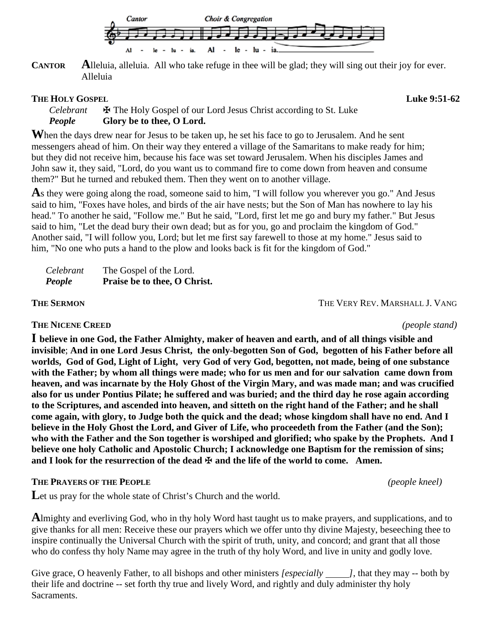

**CANTOR Alleluia, alleluia.** All who take refuge in thee will be glad; they will sing out their joy for ever. Alleluia

## **THE HOLY GOSPEL CONSUMING SET ASSAULT ASSAULT ASSAULT ASSAULT AND <b>Luke 9:51-62**

*Celebrant*  $\bullet$  **E** The Holy Gospel of our Lord Jesus Christ according to St. Luke **People Glory be to thee, O Lord.** Glory be to thee, O Lord.

When the days drew near for Jesus to be taken up, he set his face to go to Jerusalem. And he sent messengers ahead of him. On their way they entered a village of the Samaritans to make ready for him; but they did not receive him, because his face was set toward Jerusalem. When his disciples James and John saw it, they said, "Lord, do you want us to command fire to come down from heaven and consume them?" But he turned and rebuked them. Then they went on to another village.

As they were going along the road, someone said to him, "I will follow you wherever you go." And Jesus said to him, "Foxes have holes, and birds of the air have nests; but the Son of Man has nowhere to lay his head." To another he said, "Follow me." But he said, "Lord, first let me go and bury my father." But Jesus said to him, "Let the dead bury their own dead; but as for you, go and proclaim the kingdom of God." Another said, "I will follow you, Lord; but let me first say farewell to those at my home." Jesus said to him, "No one who puts a hand to the plow and looks back is fit for the kingdom of God."

| Celebrant | The Gospel of the Lord.      |
|-----------|------------------------------|
| People    | Praise be to thee, O Christ. |

**THE SERMON** THE VERY REV. MARSHALL J. VANG

# **THE NICENE CREED** *(people stand)*

**I believe in one God, the Father Almighty, maker of heaven and earth, and of all things visible and invisible**; **And in one Lord Jesus Christ, the only-begotten Son of God, begotten of his Father before all worlds, God of God, Light of Light, very God of very God, begotten, not made, being of one substance with the Father; by whom all things were made; who for us men and for our salvation came down from heaven, and was incarnate by the Holy Ghost of the Virgin Mary, and was made man; and was crucified also for us under Pontius Pilate; he suffered and was buried; and the third day he rose again according to the Scriptures, and ascended into heaven, and sitteth on the right hand of the Father; and he shall come again, with glory, to Judge both the quick and the dead; whose kingdom shall have no end. And I believe in the Holy Ghost the Lord, and Giver of Life, who proceedeth from the Father (and the Son); who with the Father and the Son together is worshiped and glorified; who spake by the Prophets. And I believe one holy Catholic and Apostolic Church; I acknowledge one Baptism for the remission of sins; and I look for the resurrection of the dead** ✠ **and the life of the world to come. Amen.**

# **THE PRAYERS OF THE PEOPLE** *(people kneel)*

Let us pray for the whole state of Christ's Church and the world.

**A**lmighty and everliving God, who in thy holy Word hast taught us to make prayers, and supplications, and to give thanks for all men: Receive these our prayers which we offer unto thy divine Majesty, beseeching thee to inspire continually the Universal Church with the spirit of truth, unity, and concord; and grant that all those who do confess thy holy Name may agree in the truth of thy holy Word, and live in unity and godly love.

Give grace, O heavenly Father, to all bishops and other ministers *[especially ]*, that they may -- both by their life and doctrine -- set forth thy true and lively Word, and rightly and duly administer thy holy Sacraments.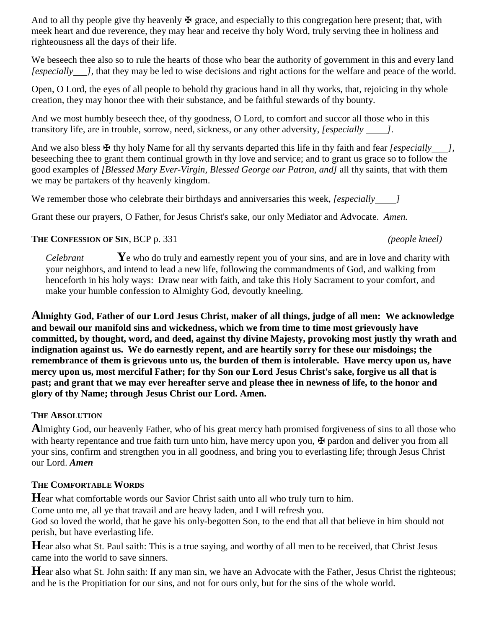And to all thy people give thy heavenly  $\mathbf \Psi$  grace, and especially to this congregation here present; that, with meek heart and due reverence, they may hear and receive thy holy Word, truly serving thee in holiness and righteousness all the days of their life.

We beseech thee also so to rule the hearts of those who bear the authority of government in this and every land *[especially ]*, that they may be led to wise decisions and right actions for the welfare and peace of the world.

Open, O Lord, the eyes of all people to behold thy gracious hand in all thy works, that, rejoicing in thy whole creation, they may honor thee with their substance, and be faithful stewards of thy bounty.

And we most humbly beseech thee, of thy goodness, O Lord, to comfort and succor all those who in this transitory life, are in trouble, sorrow, need, sickness, or any other adversity, *[especially ]*.

And we also bless  $\mathbf{\Psi}$  thy holy Name for all thy servants departed this life in thy faith and fear *[especially ]*, beseeching thee to grant them continual growth in thy love and service; and to grant us grace so to follow the good examples of *[Blessed Mary Ever-Virgin, Blessed George our Patron, and]* all thy saints, that with them we may be partakers of thy heavenly kingdom.

We remember those who celebrate their birthdays and anniversaries this week, *[especially ]*

Grant these our prayers, O Father, for Jesus Christ's sake, our only Mediator and Advocate. *Amen.*

# **THE CONFESSION OF SIN**, BCP p. 331 *(people kneel)*

*Celebrant* **Y**e who do truly and earnestly repent you of your sins, and are in love and charity with your neighbors, and intend to lead a new life, following the commandments of God, and walking from henceforth in his holy ways: Draw near with faith, and take this Holy Sacrament to your comfort, and make your humble confession to Almighty God, devoutly kneeling.

**Almighty God, Father of our Lord Jesus Christ, maker of all things, judge of all men: We acknowledge and bewail our manifold sins and wickedness, which we from time to time most grievously have committed, by thought, word, and deed, against thy divine Majesty, provoking most justly thy wrath and indignation against us. We do earnestly repent, and are heartily sorry for these our misdoings; the remembrance of them is grievous unto us, the burden of them is intolerable. Have mercy upon us, have mercy upon us, most merciful Father; for thy Son our Lord Jesus Christ's sake, forgive us all that is past; and grant that we may ever hereafter serve and please thee in newness of life, to the honor and glory of thy Name; through Jesus Christ our Lord. Amen.**

# **THE ABSOLUTION**

**A**lmighty God, our heavenly Father, who of his great mercy hath promised forgiveness of sins to all those who with hearty repentance and true faith turn unto him, have mercy upon you,  $\mathbf{\Psi}$  pardon and deliver you from all your sins, confirm and strengthen you in all goodness, and bring you to everlasting life; through Jesus Christ our Lord. *Amen*

# **THE COMFORTABLE WORDS**

**H**ear what comfortable words our Savior Christ saith unto all who truly turn to him.

Come unto me, all ye that travail and are heavy laden, and I will refresh you.

God so loved the world, that he gave his only-begotten Son, to the end that all that believe in him should not perish, but have everlasting life.

**H**ear also what St. Paul saith: This is a true saying, and worthy of all men to be received, that Christ Jesus came into the world to save sinners.

**Hear also what St. John saith: If any man sin, we have an Advocate with the Father, Jesus Christ the righteous;** and he is the Propitiation for our sins, and not for ours only, but for the sins of the whole world.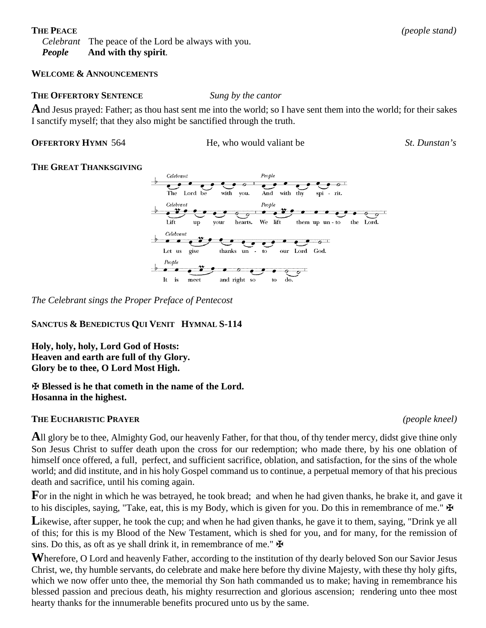*Celebrant* The peace of the Lord be always with you. *People* **And with thy spirit***.*

### **WELCOME & ANNOUNCEMENTS**

#### **THE OFFERTORY SENTENCE** *Sung by the cantor*

**A**nd Jesus prayed: Father; as thou hast sent me into the world; so I have sent them into the world; for their sakes I sanctify myself; that they also might be sanctified through the truth.

**OFFERTORY HYMN** 564 He, who would valiant be *St. Dunstan's*

### **THE GREAT THANKSGIVING**



*The Celebrant sings the Proper Preface of Pentecost*

### **SANCTUS & BENEDICTUS QUI VENIT HYMNAL S-114**

**Holy, holy, holy, Lord God of Hosts: Heaven and earth are full of thy Glory. Glory be to thee, O Lord Most High.**

### ✠ **Blessed is he that cometh in the name of the Lord. Hosanna in the highest.**

### **THE EUCHARISTIC PRAYER** *(people kneel)*

**A**ll glory be to thee, Almighty God, our heavenly Father, for that thou, of thy tender mercy, didst give thine only Son Jesus Christ to suffer death upon the cross for our redemption; who made there, by his one oblation of himself once offered, a full, perfect, and sufficient sacrifice, oblation, and satisfaction, for the sins of the whole world; and did institute, and in his holy Gospel command us to continue, a perpetual memory of that his precious death and sacrifice, until his coming again.

**F**or in the night in which he was betrayed, he took bread; and when he had given thanks, he brake it, and gave it to his disciples, saying, "Take, eat, this is my Body, which is given for you. Do this in remembrance of me."  $\mathbf{\ddot{P}}$ 

Likewise, after supper, he took the cup; and when he had given thanks, he gave it to them, saying, "Drink ye all of this; for this is my Blood of the New Testament, which is shed for you, and for many, for the remission of sins. Do this, as oft as ye shall drink it, in remembrance of me."  $\mathbf{\mathbf{\mathbf{\mathsf{F}}}}$ 

**W**herefore, O Lord and heavenly Father, according to the institution of thy dearly beloved Son our Savior Jesus Christ, we, thy humble servants, do celebrate and make here before thy divine Majesty, with these thy holy gifts, which we now offer unto thee, the memorial thy Son hath commanded us to make; having in remembrance his blessed passion and precious death, his mighty resurrection and glorious ascension; rendering unto thee most hearty thanks for the innumerable benefits procured unto us by the same.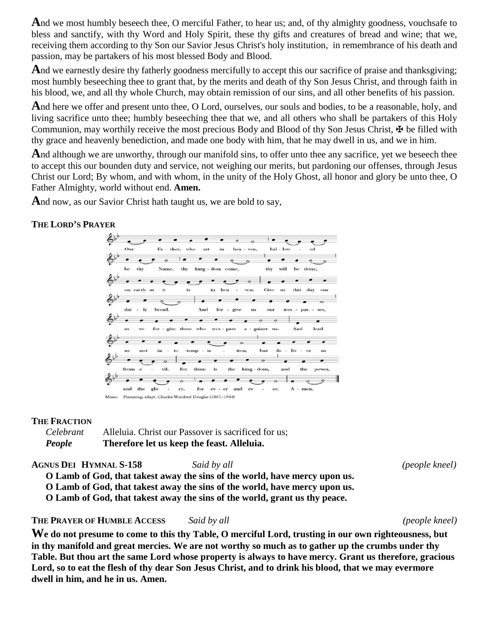**A**nd we most humbly beseech thee, O merciful Father, to hear us; and, of thy almighty goodness, vouchsafe to bless and sanctify, with thy Word and Holy Spirit, these thy gifts and creatures of bread and wine; that we, receiving them according to thy Son our Savior Jesus Christ's holy institution, in remembrance of his death and passion, may be partakers of his most blessed Body and Blood.

And we earnestly desire thy fatherly goodness mercifully to accept this our sacrifice of praise and thanksgiving; most humbly beseeching thee to grant that, by the merits and death of thy Son Jesus Christ, and through faith in his blood, we, and all thy whole Church, may obtain remission of our sins, and all other benefits of his passion.

**A**nd here we offer and present unto thee, O Lord, ourselves, our souls and bodies, to be a reasonable, holy, and living sacrifice unto thee; humbly beseeching thee that we, and all others who shall be partakers of this Holy Communion, may worthily receive the most precious Body and Blood of thy Son Jesus Christ,  $\mathbf{\Psi}$  be filled with thy grace and heavenly benediction, and made one body with him, that he may dwell in us, and we in him.

And although we are unworthy, through our manifold sins, to offer unto thee any sacrifice, yet we beseech thee to accept this our bounden duty and service, not weighing our merits, but pardoning our offenses, through Jesus Christ our Lord; By whom, and with whom, in the unity of the Holy Ghost, all honor and glory be unto thee, O Father Almighty, world without end. **Amen.**

And now, as our Savior Christ hath taught us, we are bold to say,

# **THE LORD'S PRAYER**



### **THE FRACTION**

*Celebrant* Alleluia. Christ our Passover is sacrificed for us; *People* **Therefore let us keep the feast. Alleluia.**

**AGNUS DEI HYMNAL S-158** *Said by all (people kneel)*

**O Lamb of God, that takest away the sins of the world, have mercy upon us.**

**O Lamb of God, that takest away the sins of the world, have mercy upon us.**

**O Lamb of God, that takest away the sins of the world, grant us thy peace.**

**THE PRAYER OF HUMBLE ACCESS** *Said by all (people kneel)*

**We do not presume to come to this thy Table, O merciful Lord, trusting in our own righteousness, but in thy manifold and great mercies. We are not worthy so much as to gather up the crumbs under thy Table. But thou art the same Lord whose property is always to have mercy. Grant us therefore, gracious Lord, so to eat the flesh of thy dear Son Jesus Christ, and to drink his blood, that we may evermore dwell in him, and he in us. Amen.**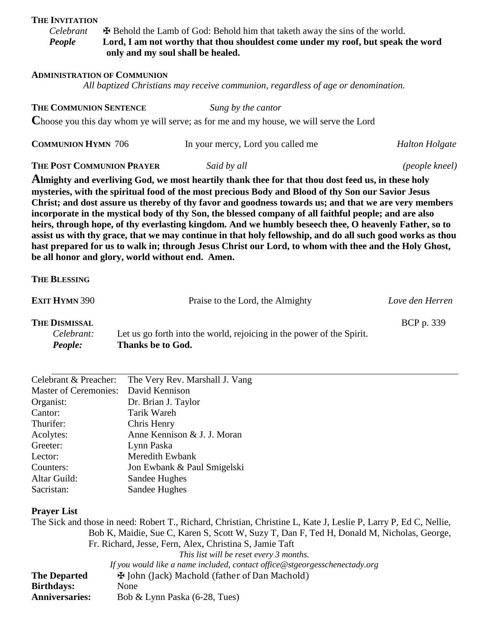#### **THE INVITATION**

*Celebrant*  $\bullet$  **Example 1.4 Example 1.4 Behold the Lamb of God: Behold him that taketh away the sins of the world.**<br>*People* **Lord, I am not worthy that thou shouldest come under my roof, but speak to** Lord, I am not worthy that thou shouldest come under my roof, but speak the word **only and my soul shall be healed.**

#### **ADMINISTRATION OF COMMUNION**

*All baptized Christians may receive communion, regardless of age or denomination.*

# **THE COMMUNION SENTENCE** *Sung by the cantor* **C**hoose you this day whom ye will serve; as for me and my house, we will serve the Lord

| <b>COMMUNION HYMN 706</b>                                                                                                                                                                                                                                                                                                                                                                                                                                                                                                                                                                                                                                                                                                                                                                                      |                          | In your mercy, Lord you called me                                     | <b>Halton Holgate</b> |  |
|----------------------------------------------------------------------------------------------------------------------------------------------------------------------------------------------------------------------------------------------------------------------------------------------------------------------------------------------------------------------------------------------------------------------------------------------------------------------------------------------------------------------------------------------------------------------------------------------------------------------------------------------------------------------------------------------------------------------------------------------------------------------------------------------------------------|--------------------------|-----------------------------------------------------------------------|-----------------------|--|
| THE POST COMMUNION PRAYER                                                                                                                                                                                                                                                                                                                                                                                                                                                                                                                                                                                                                                                                                                                                                                                      |                          | Said by all                                                           | (people kneel)        |  |
| Almighty and everliving God, we most heartily thank thee for that thou dost feed us, in these holy<br>mysteries, with the spiritual food of the most precious Body and Blood of thy Son our Savior Jesus<br>Christ; and dost assure us thereby of thy favor and goodness towards us; and that we are very members<br>incorporate in the mystical body of thy Son, the blessed company of all faithful people; and are also<br>heirs, through hope, of thy everlasting kingdom. And we humbly beseech thee, O heavenly Father, so to<br>assist us with thy grace, that we may continue in that holy fellowship, and do all such good works as thou<br>hast prepared for us to walk in; through Jesus Christ our Lord, to whom with thee and the Holy Ghost,<br>be all honor and glory, world without end. Amen. |                          |                                                                       |                       |  |
| <b>THE BLESSING</b>                                                                                                                                                                                                                                                                                                                                                                                                                                                                                                                                                                                                                                                                                                                                                                                            |                          |                                                                       |                       |  |
| <b>EXIT HYMN 390</b>                                                                                                                                                                                                                                                                                                                                                                                                                                                                                                                                                                                                                                                                                                                                                                                           |                          | Praise to the Lord, the Almighty                                      | Love den Herren       |  |
| <b>THE DISMISSAL</b><br>Celebrant:<br>People:                                                                                                                                                                                                                                                                                                                                                                                                                                                                                                                                                                                                                                                                                                                                                                  | <b>Thanks be to God.</b> | Let us go forth into the world, rejoicing in the power of the Spirit. | BCP p. 339            |  |

| Celebrant & Preacher:                | The Very Rev. Marshall J. Vang |
|--------------------------------------|--------------------------------|
| Master of Ceremonies: David Kennison |                                |
| Organist:                            | Dr. Brian J. Taylor            |
| Cantor:                              | Tarik Wareh                    |
| Thurifer:                            | Chris Henry                    |
| Acolytes:                            | Anne Kennison & J. J. Moran    |
| Greeter:                             | Lynn Paska                     |
| Lector:                              | Meredith Ewbank                |
| Counters:                            | Jon Ewbank & Paul Smigelski    |
| Altar Guild:                         | Sandee Hughes                  |
| Sacristan:                           | Sandee Hughes                  |

### **Prayer List**

The Sick and those in need: Robert T., Richard, Christian, Christine L, Kate J, Leslie P, Larry P, Ed C, Nellie, Bob K, Maidie, Sue C, Karen S, Scott W, Suzy T, Dan F, Ted H, Donald M, Nicholas, George, Fr. Richard, Jesse, Fern, Alex, Christina S, Jamie Taft *This list will be reset every 3 months.*

|                       | If you would like a name included, contact office@stgeorgesschenectady.org |
|-----------------------|----------------------------------------------------------------------------|
| <b>The Departed</b>   | H John (Jack) Machold (father of Dan Machold)                              |
| Birthdays:            | None                                                                       |
| <b>Anniversaries:</b> | Bob & Lynn Paska $(6-28, \text{Tues})$                                     |